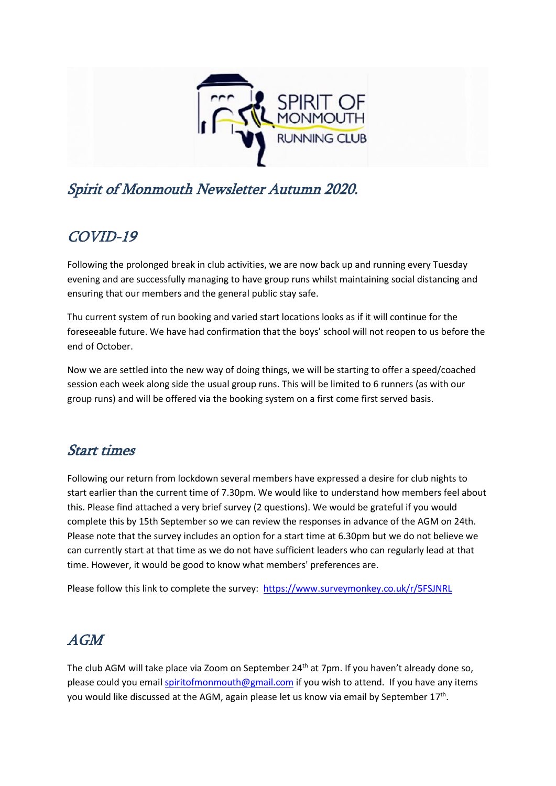

# Spirit of Monmouth Newsletter Autumn 2020.

## COVID-19

Following the prolonged break in club activities, we are now back up and running every Tuesday evening and are successfully managing to have group runs whilst maintaining social distancing and ensuring that our members and the general public stay safe.

Thu current system of run booking and varied start locations looks as if it will continue for the foreseeable future. We have had confirmation that the boys' school will not reopen to us before the end of October.

Now we are settled into the new way of doing things, we will be starting to offer a speed/coached session each week along side the usual group runs. This will be limited to 6 runners (as with our group runs) and will be offered via the booking system on a first come first served basis.

#### Start times

Following our return from lockdown several members have expressed a desire for club nights to start earlier than the current time of 7.30pm. We would like to understand how members feel about this. Please find attached a very brief survey (2 questions). We would be grateful if you would complete this by 15th September so we can review the responses in advance of the AGM on 24th. Please note that the survey includes an option for a start time at 6.30pm but we do not believe we can currently start at that time as we do not have sufficient leaders who can regularly lead at that time. However, it would be good to know what members' preferences are.

Please follow this link to complete the survey: [https://www.surveymonkey.co.uk/r/5FSJNRL](about:blank)

### AGM

The club AGM will take place via Zoom on September 24<sup>th</sup> at 7pm. If you haven't already done so, please could you emai[l spiritofmonmouth@gmail.com](about:blank) if you wish to attend. If you have any items you would like discussed at the AGM, again please let us know via email by September 17<sup>th</sup>.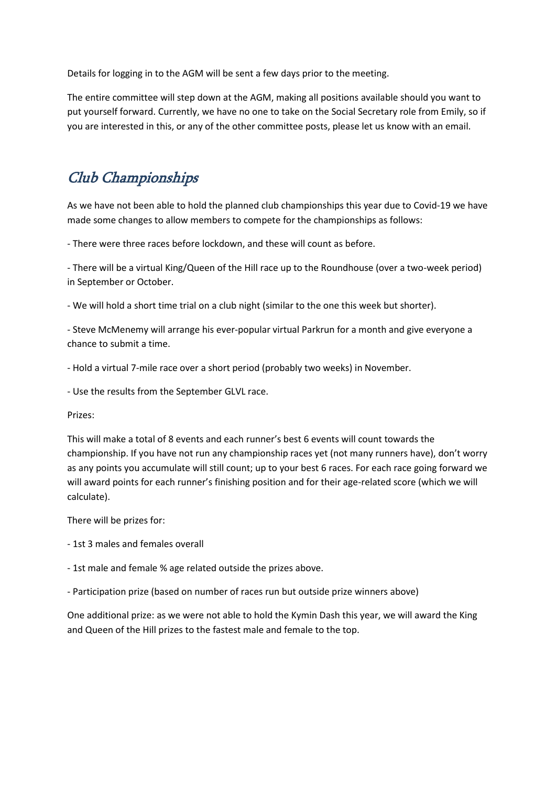Details for logging in to the AGM will be sent a few days prior to the meeting.

The entire committee will step down at the AGM, making all positions available should you want to put yourself forward. Currently, we have no one to take on the Social Secretary role from Emily, so if you are interested in this, or any of the other committee posts, please let us know with an email.

## Club Championships

As we have not been able to hold the planned club championships this year due to Covid-19 we have made some changes to allow members to compete for the championships as follows:

- There were three races before lockdown, and these will count as before.

- There will be a virtual King/Queen of the Hill race up to the Roundhouse (over a two-week period) in September or October.

- We will hold a short time trial on a club night (similar to the one this week but shorter).

- Steve McMenemy will arrange his ever-popular virtual Parkrun for a month and give everyone a chance to submit a time.

- Hold a virtual 7-mile race over a short period (probably two weeks) in November.

- Use the results from the September GLVL race.

#### Prizes:

This will make a total of 8 events and each runner's best 6 events will count towards the championship. If you have not run any championship races yet (not many runners have), don't worry as any points you accumulate will still count; up to your best 6 races. For each race going forward we will award points for each runner's finishing position and for their age-related score (which we will calculate).

There will be prizes for:

- 1st 3 males and females overall
- 1st male and female % age related outside the prizes above.

- Participation prize (based on number of races run but outside prize winners above)

One additional prize: as we were not able to hold the Kymin Dash this year, we will award the King and Queen of the Hill prizes to the fastest male and female to the top.